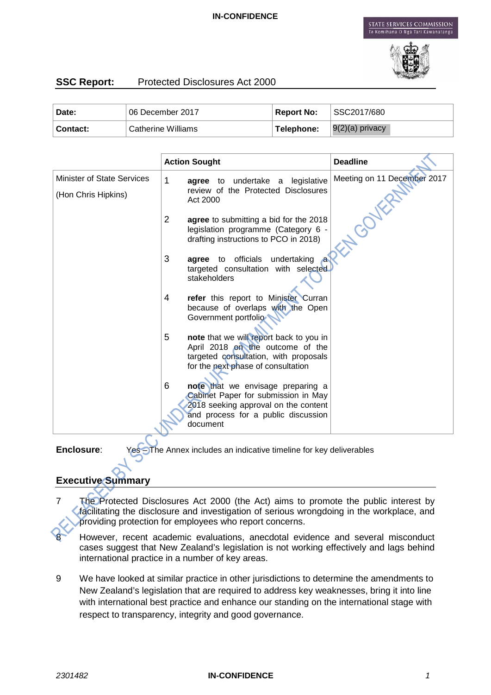

# **SSC Report:** Protected Disclosures Act 2000

| Date:    | 06 December 2017                | ∣ Report No: | SSC2017/680       |
|----------|---------------------------------|--------------|-------------------|
| Contact: | <sup>†</sup> Catherine Williams | Telephone:   | $9(2)(a)$ privacy |

|                                   | <b>Action Sought</b>                                                                                                                                                     | <b>Deadline</b>             |
|-----------------------------------|--------------------------------------------------------------------------------------------------------------------------------------------------------------------------|-----------------------------|
| <b>Minister of State Services</b> | 1<br>agree to undertake a legislative                                                                                                                                    | Meeting on 11 December 2017 |
| (Hon Chris Hipkins)               | review of the Protected Disclosures<br>Act 2000                                                                                                                          |                             |
|                                   | $\overline{2}$<br>agree to submitting a bid for the 2018<br>legislation programme (Category 6 -<br>drafting instructions to PCO in 2018)                                 | <b>NGON</b>                 |
|                                   | 3<br>agree to officials undertaking<br>targeted consultation with selected<br>stakeholders                                                                               |                             |
|                                   | 4<br>refer this report to Minister Curran<br>because of overlaps with the Open<br>Government portfolio                                                                   |                             |
|                                   | 5<br>note that we will report back to you in<br>April 2018 on the outcome of the<br>targeted consultation, with proposals<br>for the next phase of consultation          |                             |
|                                   | 6<br>note that we envisage preparing a<br>Cabinet Paper for submission in May<br>2018 seeking approval on the content<br>and process for a public discussion<br>document |                             |

**Enclosure:** Yes – The Annex includes an indicative timeline for key deliverables

# **Executive Summary**

- 7 The Protected Disclosures Act 2000 (the Act) aims to promote the public interest by facilitating the disclosure and investigation of serious wrongdoing in the workplace, and providing protection for employees who report concerns.
	- However, recent academic evaluations, anecdotal evidence and several misconduct cases suggest that New Zealand's legislation is not working effectively and lags behind international practice in a number of key areas.
- 9 We have looked at similar practice in other jurisdictions to determine the amendments to New Zealand's legislation that are required to address key weaknesses, bring it into line with international best practice and enhance our standing on the international stage with respect to transparency, integrity and good governance.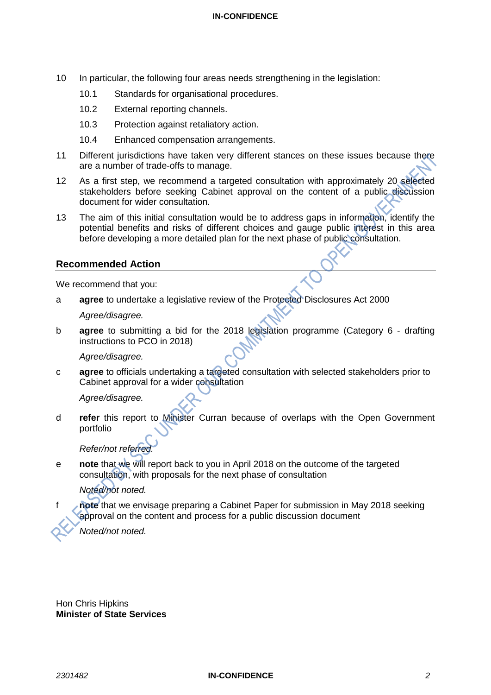- 10 In particular, the following four areas needs strengthening in the legislation:
	- 10.1 Standards for organisational procedures.
	- 10.2 External reporting channels.
	- 10.3 Protection against retaliatory action.
	- 10.4 Enhanced compensation arrangements.
- 11 Different jurisdictions have taken very different stances on these issues because there are a number of trade-offs to manage.
- 12 As a first step, we recommend a targeted consultation with approximately 20 selected stakeholders before seeking Cabinet approval on the content of a public discussion document for wider consultation.
- 13 The aim of this initial consultation would be to address gaps in information, identify the potential benefits and risks of different choices and gauge public interest in this area before developing a more detailed plan for the next phase of public consultation.

#### **Recommended Action**

We recommend that you:

a **agree** to undertake a legislative review of the Protected Disclosures Act 2000

*Agree/disagree.*

b **agree** to submitting a bid for the 2018 legislation programme (Category 6 - drafting instructions to PCO in 2018)

#### *Agree/disagree.*

c **agree** to officials undertaking a targeted consultation with selected stakeholders prior to Cabinet approval for a wider consultation

*Agree/disagree.*

d **refer** this report to Minister Curran because of overlaps with the Open Government portfolio

*Refer/not referred.* 

e **note** that we will report back to you in April 2018 on the outcome of the targeted consultation, with proposals for the next phase of consultation

#### *Noted/not noted.*

f **note** that we envisage preparing a Cabinet Paper for submission in May 2018 seeking approval on the content and process for a public discussion document

 *Noted/not noted.*

Hon Chris Hipkins **Minister of State Services**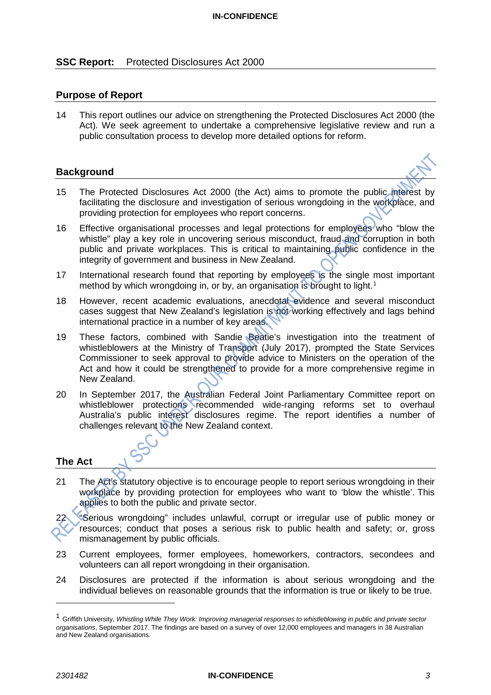### **SSC Report:** Protected Disclosures Act 2000

### **Purpose of Report**

14 This report outlines our advice on strengthening the Protected Disclosures Act 2000 (the Act). We seek agreement to undertake a comprehensive legislative review and run a public consultation process to develop more detailed options for reform.

#### **Background**



- 15 The Protected Disclosures Act 2000 (the Act) aims to promote the public interest by facilitating the disclosure and investigation of serious wrongdoing in the workplace, and providing protection for employees who report concerns.
- 16 Effective organisational processes and legal protections for employees who "blow the whistle" play a key role in uncovering serious misconduct, fraud and corruption in both public and private workplaces. This is critical to maintaining public confidence in the integrity of government and business in New Zealand.
- 17 International research found that reporting by employees is the single most important method by which wrongdoing in, or by, an organisation is brought to light. [1](#page-2-0)
- 18 However, recent academic evaluations, anecdotal evidence and several misconduct cases suggest that New Zealand's legislation is not working effectively and lags behind international practice in a number of key areas.
- 19 These factors, combined with Sandie Beatie's investigation into the treatment of whistleblowers at the Ministry of Transport (July 2017), prompted the State Services Commissioner to seek approval to provide advice to Ministers on the operation of the Act and how it could be strengthened to provide for a more comprehensive regime in New Zealand.
- 20 In September 2017, the Australian Federal Joint Parliamentary Committee report on whistleblower protections recommended wide-ranging reforms set to overhaul Australia's public interest disclosures regime. The report identifies a number of challenges relevant to the New Zealand context.

### **The Act**

21 The Act's statutory objective is to encourage people to report serious wrongdoing in their workplace by providing protection for employees who want to 'blow the whistle'. This applies to both the public and private sector.

22 "Serious wrongdoing" includes unlawful, corrupt or irregular use of public money or resources; conduct that poses a serious risk to public health and safety; or, gross mismanagement by public officials.

- 23 Current employees, former employees, homeworkers, contractors, secondees and volunteers can all report wrongdoing in their organisation.
- 24 Disclosures are protected if the information is about serious wrongdoing and the individual believes on reasonable grounds that the information is true or likely to be true.

 $\ddot{\phantom{a}}$ 

<span id="page-2-0"></span><sup>1</sup> Griffith University, *Whistling While They Work: Improving managerial responses to whistleblowing in public and private sector organisations*, September 2017. The findings are based on a survey of over 12,000 employees and managers in 38 Australian and New Zealand organisations.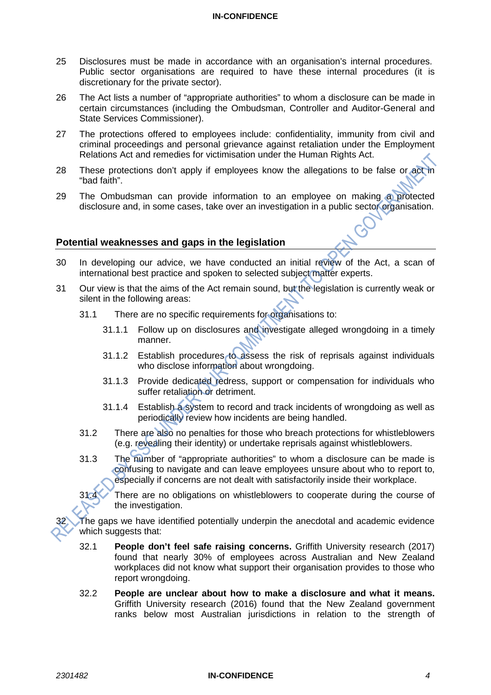- 25 Disclosures must be made in accordance with an organisation's internal procedures. Public sector organisations are required to have these internal procedures (it is discretionary for the private sector).
- 26 The Act lists a number of "appropriate authorities" to whom a disclosure can be made in certain circumstances (including the Ombudsman, Controller and Auditor-General and State Services Commissioner).
- 27 The protections offered to employees include: confidentiality, immunity from civil and criminal proceedings and personal grievance against retaliation under the Employment Relations Act and remedies for victimisation under the Human Rights Act.
- 28 These protections don't apply if employees know the allegations to be false or act in "bad faith".
- 29 The Ombudsman can provide information to an employee on making a protected disclosure and, in some cases, take over an investigation in a public sector organisation.

### **Potential weaknesses and gaps in the legislation**

- 30 In developing our advice, we have conducted an initial review of the Act, a scan of international best practice and spoken to selected subject matter experts.
- 31 Our view is that the aims of the Act remain sound, but the legislation is currently weak or silent in the following areas:
	- 31.1 There are no specific requirements for organisations to:
		- 31.1.1 Follow up on disclosures and investigate alleged wrongdoing in a timely manner.
		- 31.1.2 Establish procedures to assess the risk of reprisals against individuals who disclose information about wrongdoing.
		- 31.1.3 Provide dedicated redress, support or compensation for individuals who suffer retaliation or detriment.
		- 31.1.4 Establish a system to record and track incidents of wrongdoing as well as periodically review how incidents are being handled.
	- 31.2 There are also no penalties for those who breach protections for whistleblowers (e.g. revealing their identity) or undertake reprisals against whistleblowers.
	- 31.3 The number of "appropriate authorities" to whom a disclosure can be made is confusing to navigate and can leave employees unsure about who to report to, especially if concerns are not dealt with satisfactorily inside their workplace.

31.4 There are no obligations on whistleblowers to cooperate during the course of the investigation.

The gaps we have identified potentially underpin the anecdotal and academic evidence which suggests that:

- 32.1 **People don't feel safe raising concerns.** Griffith University research (2017) found that nearly 30% of employees across Australian and New Zealand workplaces did not know what support their organisation provides to those who report wrongdoing.
- 32.2 **People are unclear about how to make a disclosure and what it means.**  Griffith University research (2016) found that the New Zealand government ranks below most Australian jurisdictions in relation to the strength of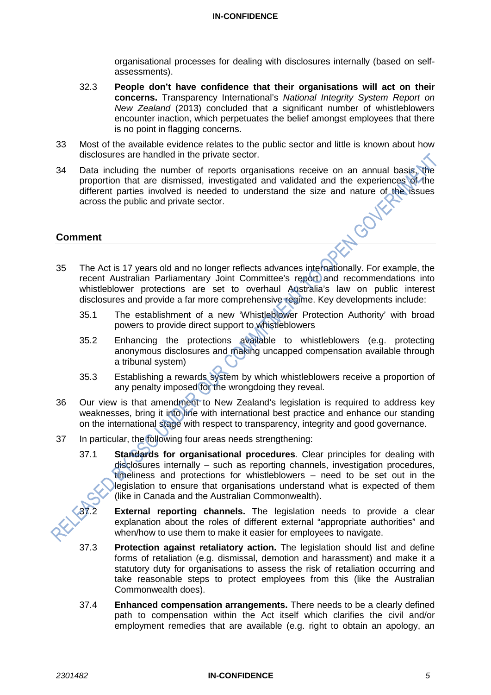organisational processes for dealing with disclosures internally (based on selfassessments).

- 32.3 **People don't have confidence that their organisations will act on their concerns.** Transparency International's *National Integrity System Report on New Zealand* (2013) concluded that a significant number of whistleblowers encounter inaction, which perpetuates the belief amongst employees that there is no point in flagging concerns.
- 33 Most of the available evidence relates to the public sector and little is known about how disclosures are handled in the private sector.
- 34 Data including the number of reports organisations receive on an annual basis, the proportion that are dismissed, investigated and validated and the experiences of the different parties involved is needed to understand the size and nature of the issues across the public and private sector. **FLOOD**

**Comment**

- 35 The Act is 17 years old and no longer reflects advances internationally. For example, the recent Australian Parliamentary Joint Committee's report and recommendations into whistleblower protections are set to overhaul Australia's law on public interest disclosures and provide a far more comprehensive regime. Key developments include:
	- 35.1 The establishment of a new 'Whistleblower Protection Authority' with broad powers to provide direct support to whistleblowers
	- 35.2 Enhancing the protections available to whistleblowers (e.g. protecting anonymous disclosures and making uncapped compensation available through a tribunal system)
	- 35.3 Establishing a rewards system by which whistleblowers receive a proportion of any penalty imposed for the wrongdoing they reveal.
- 36 Our view is that amendment to New Zealand's legislation is required to address key weaknesses, bring it into line with international best practice and enhance our standing on the international stage with respect to transparency, integrity and good governance.
- 37 In particular, the following four areas needs strengthening:
	- 37.1 **Standards for organisational procedures**. Clear principles for dealing with disclosures internally – such as reporting channels, investigation procedures, timeliness and protections for whistleblowers – need to be set out in the legislation to ensure that organisations understand what is expected of them (like in Canada and the Australian Commonwealth).

**External reporting channels.** The legislation needs to provide a clear explanation about the roles of different external "appropriate authorities" and when/how to use them to make it easier for employees to navigate.

- 37.3 **Protection against retaliatory action.** The legislation should list and define forms of retaliation (e.g. dismissal, demotion and harassment) and make it a statutory duty for organisations to assess the risk of retaliation occurring and take reasonable steps to protect employees from this (like the Australian Commonwealth does).
- 37.4 **Enhanced compensation arrangements.** There needs to be a clearly defined path to compensation within the Act itself which clarifies the civil and/or employment remedies that are available (e.g. right to obtain an apology, an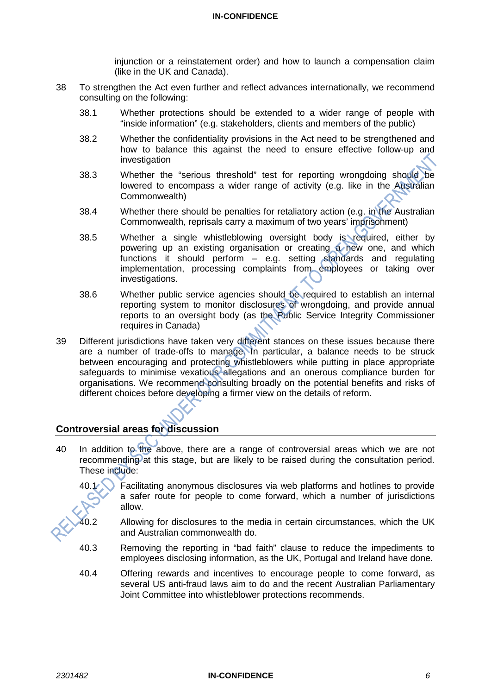injunction or a reinstatement order) and how to launch a compensation claim (like in the UK and Canada).

- 38 To strengthen the Act even further and reflect advances internationally, we recommend consulting on the following:
	- 38.1 Whether protections should be extended to a wider range of people with "inside information" (e.g. stakeholders, clients and members of the public)
	- 38.2 Whether the confidentiality provisions in the Act need to be strengthened and how to balance this against the need to ensure effective follow-up and investigation
	- 38.3 Whether the "serious threshold" test for reporting wrongdoing should be lowered to encompass a wider range of activity (e.g. like in the Australian Commonwealth)
	- 38.4 Whether there should be penalties for retaliatory action (e.g. in the Australian Commonwealth, reprisals carry a maximum of two years' imprisonment)
	- 38.5 Whether a single whistleblowing oversight body is required, either by powering up an existing organisation or creating a new one, and which functions it should perform – e.g. setting standards and regulating implementation, processing complaints from employees or taking over investigations.
	- 38.6 Whether public service agencies should be required to establish an internal reporting system to monitor disclosures of wrongdoing, and provide annual reports to an oversight body (as the Public Service Integrity Commissioner requires in Canada)
- 39 Different jurisdictions have taken very different stances on these issues because there are a number of trade-offs to manage. In particular, a balance needs to be struck between encouraging and protecting whistleblowers while putting in place appropriate safeguards to minimise vexatious allegations and an onerous compliance burden for organisations. We recommend consulting broadly on the potential benefits and risks of different choices before developing a firmer view on the details of reform.

## **Controversial areas for discussion**

40 In addition to the above, there are a range of controversial areas which we are not recommending at this stage, but are likely to be raised during the consultation period. These include:

40.1 Facilitating anonymous disclosures via web platforms and hotlines to provide a safer route for people to come forward, which a number of jurisdictions allow.

- Allowing for disclosures to the media in certain circumstances, which the UK and Australian commonwealth do.
- 40.3 Removing the reporting in "bad faith" clause to reduce the impediments to employees disclosing information, as the UK, Portugal and Ireland have done.
- 40.4 Offering rewards and incentives to encourage people to come forward, as several US anti-fraud laws aim to do and the recent Australian Parliamentary Joint Committee into whistleblower protections recommends.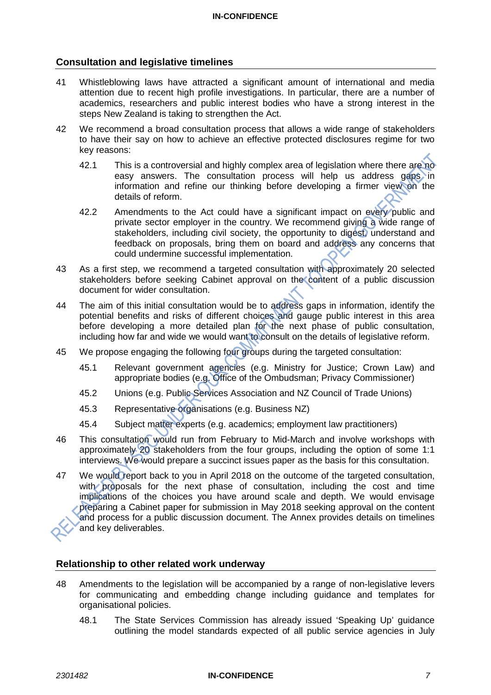### **Consultation and legislative timelines**

- 41 Whistleblowing laws have attracted a significant amount of international and media attention due to recent high profile investigations. In particular, there are a number of academics, researchers and public interest bodies who have a strong interest in the steps New Zealand is taking to strengthen the Act.
- 42 We recommend a broad consultation process that allows a wide range of stakeholders to have their say on how to achieve an effective protected disclosures regime for two key reasons:
	- 42.1 This is a controversial and highly complex area of legislation where there are no easy answers. The consultation process will help us address gaps in information and refine our thinking before developing a firmer view on the details of reform.
	- 42.2 Amendments to the Act could have a significant impact on every public and private sector employer in the country. We recommend giving a wide range of stakeholders, including civil society, the opportunity to digest, understand and feedback on proposals, bring them on board and address any concerns that could undermine successful implementation.
- 43 As a first step, we recommend a targeted consultation with approximately 20 selected stakeholders before seeking Cabinet approval on the content of a public discussion document for wider consultation.
- 44 The aim of this initial consultation would be to address gaps in information, identify the potential benefits and risks of different choices and gauge public interest in this area before developing a more detailed plan for the next phase of public consultation, including how far and wide we would want to consult on the details of legislative reform.
- 45 We propose engaging the following four groups during the targeted consultation:
	- 45.1 Relevant government agencies (e.g. Ministry for Justice; Crown Law) and appropriate bodies (e.g. Office of the Ombudsman; Privacy Commissioner)
	- 45.2 Unions (e.g. Public Services Association and NZ Council of Trade Unions)
	- 45.3 Representative organisations (e.g. Business NZ)
	- 45.4 Subject matter experts (e.g. academics; employment law practitioners)
- 46 This consultation would run from February to Mid-March and involve workshops with approximately 20 stakeholders from the four groups, including the option of some 1:1 interviews. We would prepare a succinct issues paper as the basis for this consultation.
- 47 We would report back to you in April 2018 on the outcome of the targeted consultation, with proposals for the next phase of consultation, including the cost and time implications of the choices you have around scale and depth. We would envisage preparing a Cabinet paper for submission in May 2018 seeking approval on the content and process for a public discussion document. The Annex provides details on timelines and key deliverables.

### **Relationship to other related work underway**

- 48 Amendments to the legislation will be accompanied by a range of non-legislative levers for communicating and embedding change including guidance and templates for organisational policies.
	- 48.1 The State Services Commission has already issued 'Speaking Up' guidance outlining the model standards expected of all public service agencies in July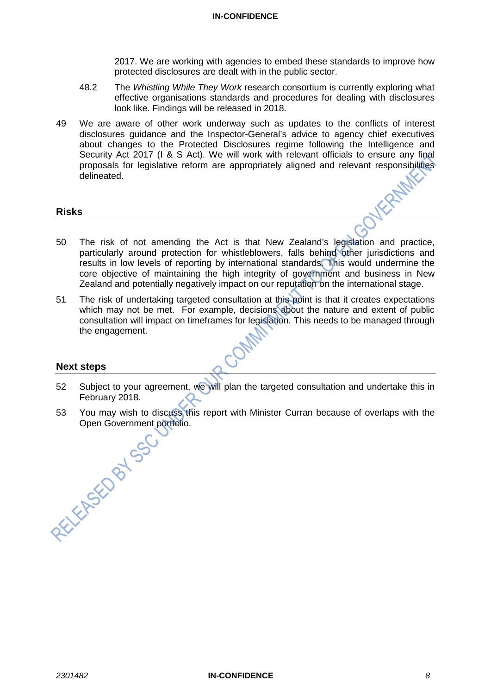2017. We are working with agencies to embed these standards to improve how protected disclosures are dealt with in the public sector.

- 48.2 The *Whistling While They Work* research consortium is currently exploring what effective organisations standards and procedures for dealing with disclosures look like. Findings will be released in 2018.
- 49 We are aware of other work underway such as updates to the conflicts of interest disclosures guidance and the Inspector-General's advice to agency chief executives about changes to the Protected Disclosures regime following the Intelligence and Security Act 2017 (I & S Act). We will work with relevant officials to ensure any final proposals for legislative reform are appropriately aligned and relevant responsibilities delineated.

#### **Risks**

- 50 The risk of not amending the Act is that New Zealand's legislation and practice, particularly around protection for whistleblowers, falls behind other jurisdictions and results in low levels of reporting by international standards. This would undermine the core objective of maintaining the high integrity of government and business in New Zealand and potentially negatively impact on our reputation on the international stage.
- 51 The risk of undertaking targeted consultation at this point is that it creates expectations which may not be met. For example, decisions about the nature and extent of public consultation will impact on timeframes for legislation. This needs to be managed through the engagement.

#### **Next steps**

- 52 Subject to your agreement, we will plan the targeted consultation and undertake this in February 2018.
- 53 You may wish to discuss this report with Minister Curran because of overlaps with the Open Government portfolio. Open Government portfolio.